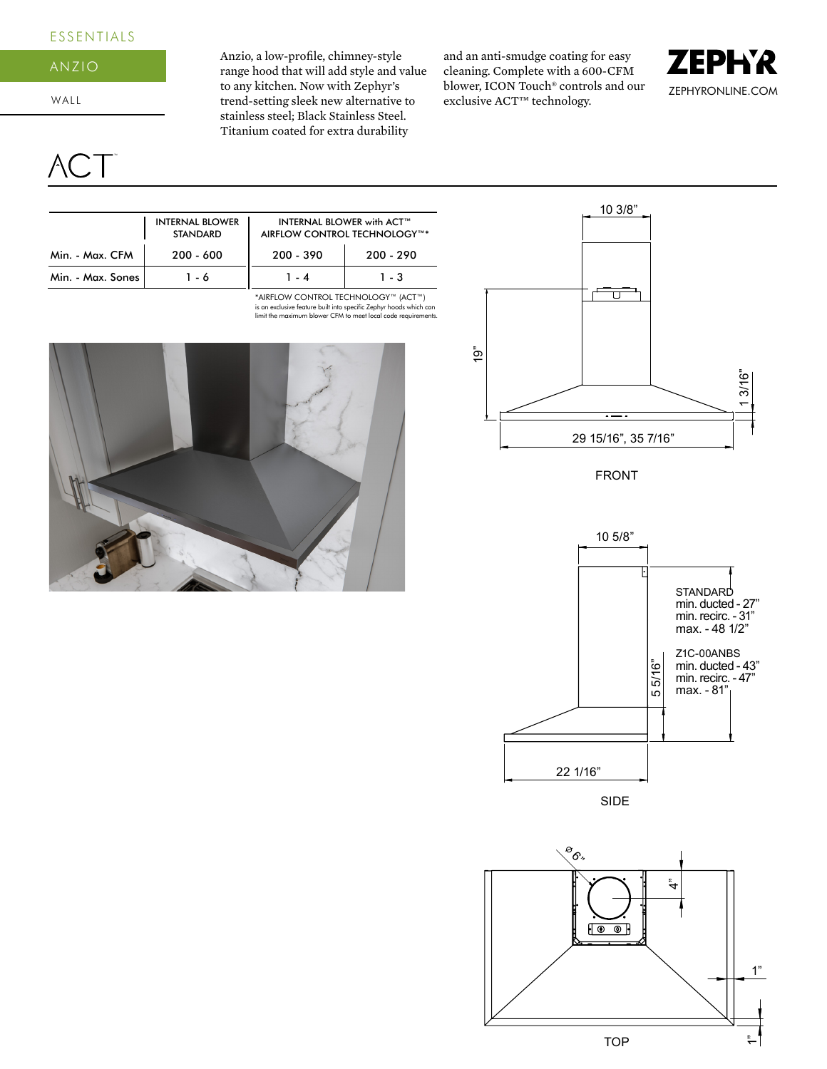## ESSENTIALS



WALL

CT<sup>-</sup>

Anzio, a low-profile, chimney-style range hood that will add style and value to any kitchen. Now with Zephyr's trend-setting sleek new alternative to stainless steel; Black Stainless Steel. Titanium coated for extra durability

and an anti-smudge coating for easy cleaning. Complete with a 600-CFM blower, ICON Touch® controls and our exclusive ACT™ technology.



|                   | <b>INTERNAL BLOWER</b><br><b>STANDARD</b> | <b>INTERNAL BLOWER with ACT™</b><br>AIRFLOW CONTROL TECHNOLOGY™* |             |  |
|-------------------|-------------------------------------------|------------------------------------------------------------------|-------------|--|
| Min. - Max. CFM   | $200 - 600$                               | 200 390                                                          | $200 - 290$ |  |
| Min. - Max. Sones | 16                                        | 1.4                                                              | $1 - 3$     |  |

is an exclusive feature built into specific Zephyr hoods which can limit the maximum blower CFM to meet local code requirements. \*AIRFLOW CONTROL TECHNOLOGY™ (ACT™)





FRONT



ిం. ধ  $F \circ \circ F$ 1"TOP م:<br>-